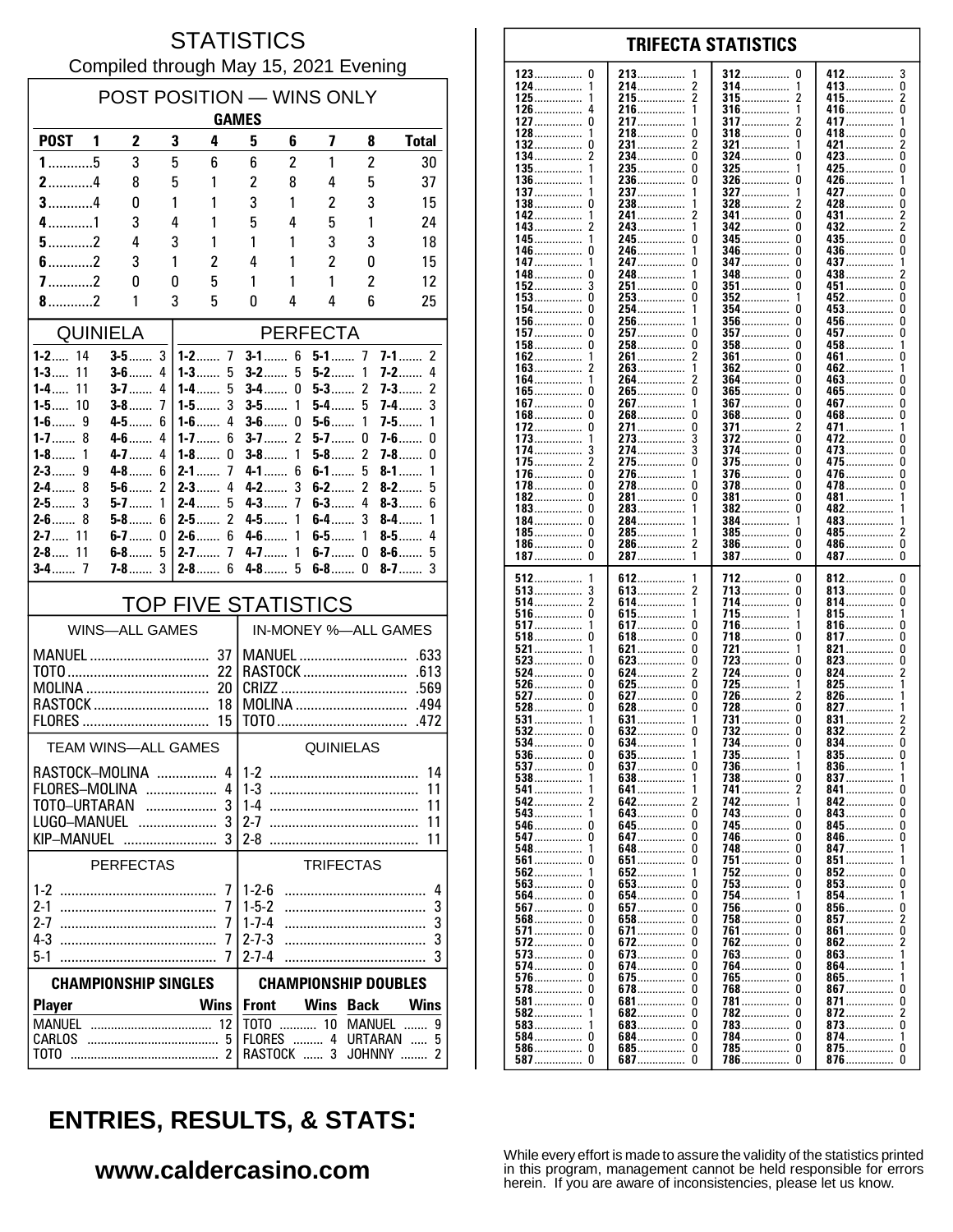#### **STATISTICS** Compiled through May 15, 2021 Evening

| POST POSITION - WINS ONLY<br><b>GAMES</b> |                            |                       |                          |                            |                             |                |                         |                |                             |
|-------------------------------------------|----------------------------|-----------------------|--------------------------|----------------------------|-----------------------------|----------------|-------------------------|----------------|-----------------------------|
| POST <sub>1</sub>                         |                            | $\mathbf{2}$          | 3                        | 4                          | 5                           | 6              | $\overline{\mathbf{z}}$ | 8              | <b>Total</b>                |
| $1$ 5                                     |                            | 3                     | 5                        | 6                          | 6                           | $\overline{2}$ | 1                       | $\overline{c}$ | 30                          |
| $2$ 4                                     |                            | 8                     | 5                        | 1                          | $\overline{c}$              | 8              | 4                       | 5              | 37                          |
| $3$ 4                                     |                            | 0                     | 1                        | 1                          | 3                           | 1              | 2                       | 3              | 15                          |
| $4$ 1                                     |                            | 3                     | 4                        | 1                          | 5                           | 4              | 5                       | 1              | 24                          |
| $5$ 2                                     |                            | 4                     | 3                        | 1                          | 1                           | 1              | 3                       | 3              | 18                          |
| $6$ 2                                     |                            | 3                     | 1                        | 2                          | 4                           | 1              | 2                       | 0              | 15                          |
| $7$ 2                                     |                            | 0                     | 0                        | 5                          | 1                           | 1              | 1                       | 2              | 12                          |
| 8.11                                      |                            | 1                     | 3                        | 5                          | 0                           | 4              | 4                       | 6              | 25                          |
| <b>QUINIELA</b>                           |                            |                       |                          |                            |                             |                | <b>PERFECTA</b>         |                |                             |
| $1 - 2$ 14                                |                            | $3-5$                 | 3                        |                            | $3-1$                       | 6              | $5 - 1$ 7               |                | $7 - 1$<br>2                |
| $1 - 3$<br>11<br>$1 - 4$<br>11            |                            | $3 - 6$<br>$3 - 7$    | 4<br>4                   | $1 - 3$<br>5<br>1-4……<br>5 | $3-2$<br>$3-4$              | 5<br>0         | $5-2$<br>5-3……          | 1<br>2         | $7-2$<br>4<br>2<br>$7 - 3$  |
| $1 - 5$<br>10                             |                            | $3-8$                 | 7                        | 3<br>1-5. $\dots$          | $3-5$                       | 1              | 5-4……                   | 5              | 3<br>7-4……                  |
| $1 - 6$<br>9                              |                            | $4-5$                 | 6                        | $1-6$<br>4                 | $3-6$                       | 0              | $5-6$                   | 1              | $7-5$<br>1                  |
| $1 - 7$<br>8                              |                            | $4 - 6$               | 4                        | $1 - 7$<br>6<br>$1-8$      | $3 - 7$                     | 2              | $5-7$                   | 0              | $7-6$<br>0<br>7-8           |
| $1-8$<br>1<br>9<br>$2 - 3$                |                            | $4 - 7$<br>$4-8$      | 4<br>6                   | 0<br>$2-1$<br>7            | $3-8$<br>$4 - 1$            | 1<br>6         | $5-8$<br>$6-1$          | 2<br>5         | 0<br>$8-1$<br>1             |
| 8<br>$2-4$                                |                            | $5-6$                 | 2                        | $2-3$<br>4                 | $4 - 2$                     | 3              | $6-2$                   | 2              | $8 - 2$<br>5                |
| $2-5$<br>3                                |                            | $5-7$                 | 1                        | $2-4$<br>5                 | $4 - 3$                     | 7              | $6-3$                   | 4              | $8-3$<br>6                  |
| $2 - 6$ 8<br>$2 - 7$ 11                   |                            | 5-8<br>$6-7$          | 6<br>0                   | 2<br>$2 - 5$<br>6<br>2-6…… | $4 - 5$<br>$4-6$            | 1<br>1         | 6-4<br>6-5……            | 3<br>1         | $8-4$<br>1<br>4<br>$8-5$    |
| 11<br>$2 - 8$                             |                            | $6-8$                 | 5                        | $2 - 7$<br>7               | $4 - 7$                     | 1              | 6-7.                    | 0              | $8-6$<br>5                  |
|                                           |                            | $7-8$                 | 3                        | $2 - 8$<br>6               | $4-8$                       | 5              | $6-8$                   | 0              | $8-7$<br>3                  |
|                                           | <b>TOP FIVE STATISTICS</b> |                       |                          |                            |                             |                |                         |                |                             |
|                                           |                            | <b>WINS-ALL GAMES</b> |                          |                            |                             |                |                         |                | IN-MONEY %-ALL GAMES        |
| MANUEL                                    |                            |                       |                          | 37                         |                             |                | MANUEL                  |                | .633                        |
|                                           |                            |                       |                          | 22                         |                             |                | RASTOCK                 |                | .613                        |
| MOLINA<br>RASTOCK                         |                            |                       |                          | 20<br>18                   |                             |                | MOLINA                  |                | .569<br>.494                |
|                                           |                            |                       |                          | 15                         |                             |                |                         |                | .472                        |
| TEAM WINS-ALL GAMES                       |                            |                       |                          |                            |                             |                | QUINIELAS               |                |                             |
| RASTOCK-MOLINA                            |                            |                       |                          |                            | $4 1-2$                     |                |                         |                | 14                          |
| FLORES-MOLINA                             |                            |                       |                          | 4                          |                             |                |                         |                | 11                          |
| TOTO-URTARAN                              |                            |                       | $\overline{\phantom{a}}$ | 3                          |                             |                |                         |                | 11                          |
| LUGO-MANUEL  3<br>KIP-MANUEL              |                            |                       |                          |                            | $2 - 7$                     |                |                         |                | 11<br>11                    |
|                                           |                            | PERFECTAS             |                          |                            |                             |                | <b>TRIFECTAS</b>        |                |                             |
|                                           |                            |                       |                          | 7                          | $1 - 2 - 6$                 |                |                         |                | 4                           |
|                                           |                            |                       |                          | 7                          | $1 - 5 - 2$                 |                |                         |                | 3                           |
| $2 - 7$                                   |                            |                       |                          | 7                          | $1 - 7 - 4$                 |                |                         |                | 3                           |
| $5-1$                                     |                            |                       |                          | 7                          | $2 - 7 - 3$<br>$2 - 7 - 4$  |                |                         |                | 3<br>3                      |
| <b>CHAMPIONSHIP SINGLES</b>               |                            |                       |                          |                            | <b>CHAMPIONSHIP DOUBLES</b> |                |                         |                |                             |
| <b>Player</b>                             |                            |                       |                          | <b>Wins</b>                | <b>Front</b>                |                | Wins                    | <b>Back</b>    | <b>Wins</b>                 |
|                                           |                            |                       |                          | 12                         |                             |                |                         |                | TOTO  10 MANUEL<br>9        |
| CARLOS                                    |                            |                       |                          | -5                         |                             |                |                         |                | FLORES  4 URTARAN<br>5<br>2 |
| тото                                      |                            |                       |                          |                            |                             | RASTOCK  3     |                         |                | JOHNNY                      |

#### **TRIFECTA STATISTICS** 213 412 3  $\Omega$ 312 <sup>0</sup> 214................  $\overline{2}$ 314 413...............  $\overline{0}$ . . . . . . . . . . . . . . 1 . . . . . . . . .  $215$ ................  $\overline{2}$  $315$ ................  $^2_{\rm 0}$ 415................ . . . . . . . . . . . . . . . 216  $\mathbf{316}$  ................. 416  $\Delta$ 1  $\mathbf{1}$ . . . . . . . . . . . . . . . .............. ...............  $\Omega$ 217 317 417  $\overline{1}$ 1 2 . . . . . . . . . . . . . . . . . . . . . . . . . . . . . . . . . . . . . . . . . . 218  $\Omega$ 318  $\Omega$ 418  $\Omega$  $\overline{2}$  $\Omega$ 231................  $\overline{\phantom{a}}$ 321 .................  $421$ 1  $\Omega$  $\Omega$ ō  $\overline{\phantom{a}}$  $234$ ................  $324$  ................  $423...$ 235.................  $\Omega$ 325  $425$  $\mathbf 0$ 236  $\pmb{0}$  $326$ ................. 426................ 136................  $\Omega$ . . . . . . . . . . . . . . . . 237 327 427  $\Omega$ 1 . . . . . . . . . . . . . . . . . . . . . . . . . . . . . . . . . . . . . . . . . . . .  $\Omega$ 238 328 428  $\Omega$ . . . . . . . . . . . . . . . . . . . . . . . . . .  $\frac{6}{2}$ 241................ 341................ n  $\overline{\phantom{a}}$ 431 — 243................  $342$  $\overline{2}$  $\mathbf{1}$  $\Omega$ 345.................  $\overline{0}$ 245.  $\mathbf 0$  $\mathbf{0}$  $435...$ -1 346 0 436................ 246 . . . . . . . . . . . . . . . . . . . . . . . . . . . . . . . . . . . . . . . . . . . . 247  $\Omega$ 347 n 437 . . . . . . . . . . . . . . . . . . . . . . . . . . . . . . . . . . . . . . . . . . . . . . . . . . . . . . . . . . . 248................  $\begin{minipage}{.4\linewidth} \textbf{348} \end{minipage}$ 438................  $\overline{2}$ 0 <sup>0</sup> .............. 3 251 0 351 <sup>0</sup> 451 0 . . . . . . . . . . . . . . . . . . . . . . . . . . . . . . . . . . . . . . . . . . . . . . . . . . . . . . . . .  $\Omega$ 253  $\Omega$ 352 452  $\Omega$  $\mathbf{1}$ ŏ 254................  $\Omega$ 354................ 453................  $\mathbf{1}$ n  $156$ ................  $\mathbf 0$  $\mathbf 0$ 256.  $356$  $\Omega$  $456$  $157$ ................  $\Omega$ 257.................  $\Omega$  $357$  .................  $457$  $\mathbf{0}$ 458................  $258$ ................  $\pmb{0}$ 0 358  $\Omega$ . . . . . . . . . . . . . . . . . . . . . . . . . . . . . . . . 261  $\overline{\phantom{a}}$ 361  $\Omega$ 461  $\mathbf{0}$ . . . . . . . . . . . . . . . ............... . . . . . . . . . . . . . . . . . . . . . . . . . . . . . . . .  $\overline{2}$ 263  $\mathbf{1}$ 362  $\Omega$ 462  $\overline{1}$ . . . . . . . . . . . . . . . . . . . . . . . . . . . . . . . . . . . . . . . . . . .  $\dot{0}$ 264................  $364$  ................  $\overline{\phantom{a}}$  $\Omega$  $463...$  $\mathbf{1}$ 265................. 165................ ò  $\bar{0}$ 365................. ñ  $465$ ñ  $\mathbf 0$  $\overline{0}$  $\mathbf 0$  $267$ ................  $367$  ................  $467$ ............... . . . . . . . . . . . . . . Ō  $\ddot{\mathbf{0}}$ Ō Ō 268 368 468 . . . . . . . . . . . . . . . . . . . . . . . . . . . . . . . . . . . . . . . . . . . . . . . . . . . . . . . . . . . . .  $\pmb{0}$ 271................  $\pmb{0}$ 371................  $\overline{2}$ 471................  $\mathbf{1}$ . . . . . . . . . . . . . . 273 372 ŋ  $\mathbf{0}$ 472 . . . . . . . . . . . . . . . .............. . . . . . . . . . . . . . . . . . . . . . . . . . . . . . . . 3 274  $\overline{3}$ 374  $\Omega$ 473................  $\pmb{0}$ . . . . . . . . . . . . . . . . . . . . . . . . . . . . . . . . . . . . . . . . . . . . . .  $\Omega$ 2 275 375  $\Omega$ 475.  $\Omega$ . . . . . . . . . . . . . . . . . . . . . . . . . . . . . . . . . . . . . . . . . . . . . . . . . . . . . . . . . . .  $\Omega$ .............. 376. 476................  $\Omega$ 276.  $\mathbf{1}$  $\Omega$  $\dot{0}$ ŏ  $\Omega$ 278................  $\Omega$ 478  $178$ ................  $378$ 182................  $\Omega$ 281.................  $\Omega$ 381  $\theta$  $481$ ................ . . . . . . . . . . . . . . . .  $183$ ................. 382................ 0 283 0  $482$ ................ . . . . . . . . . . . . . . . 384................  $\Omega$ 284 483 . . . . . . . . . . . . . . . . ............... . . . . . . . . . . . . . . . .  $485$ ................  $\Omega$ 285 385  $\Omega$  $\overline{\phantom{a}}$ . . . . . . . . . . . . . . . . . . . . . . . . . . . . . . . . . . . . . . . . . . . . .  $\Omega$ 286.  $\overline{\phantom{a}}$  $386$ ................  $\Omega$ 486................  $\Omega$ . . . . . . . . . . . . . . . . . . . . . . . . . . . . . .  $\tilde{0}$  $\Omega$  $\Omega$ 187................ 287 — 287  $\overline{1}$ 387................ 612 712  $\mathbf{0}$ 812........ 0 . . . . . . . . . . . . . . . . . . . . . . . . . . . . . . . . . . . . . . . . . 613.  $\Omega$  $\pmb{0}$ 713 813................ . . . . . . . . . . . . . . . .  $\overline{2}$ 614  $\mathbf{1}$ 714 0 814 0 . . . . . . . . . . . . . . . . . . . . . . . . . . . . . . . . . . . . . . . . . . . . . . . . . . . . . . . . . . . . . 0 615 715.  $\overline{1}$ 815  $\mathbf{1}$ . . . . . . . . . . . . . . . . . . . . . . . . . . . -1 . . . . . . . . . . . . . .  $\dot{0}$  $\ddot{\mathbf{0}}$ 517................ 617.................  $716$ ................  $816$ ...... -1 -1  $518$ ................ 817.................  $\mathbf{0}$  $\Omega$  $618$ ................ 0  $718$ ................  $\Omega$

 $\pmb{0}$ 

 $\pmb{0}$ 

2

 $\Omega$ 

 $\Omega$ 

Ō

 $\ddot{\mathbf{0}}$ 

 $\mathbf{1}$ 

 $\overline{0}$ 

-1

 $\overline{\phantom{a}}$ 

 $\pmb{0}$ 

 $\mathbf 0$ 

 $\Omega$ 

 $\Omega$ 

 $\Omega$ 

1

.

Ō

 $\Omega$ 

 $\Omega$ 

 $\mathbf{0}$ 

0

 $\Omega$ 

 $\mathbf 0$ 

 $\pmb{0}$ 

 $\Omega$ 

 $\pmb{0}$ 

 $\Omega$ 

 $\Omega$ 

 $\Omega$ 

0

 $\Omega$ 

. . . . . . . . . . . . . . .

..............

. . . . . . . . . . . . . . .

. . . . . . . . . . . . . . . 627................

 $628$ 

631................

632................

634................

641...............

642...............

643................

645...............

 $651$ ................

652................

653................

657................

674................

 $675$ ................

681................

684...............

685................

687.................

. . . . . . . . . . . . . . .

. . . . . . . . . . . . . . .

. . . . . . . . . . . . . . .

. . . . . . . . . . . . . .

..............

. . . . . . . . . . . . . .

. . . . . . . . . . . . . . .

. . . . . . . . . . . . . .

. . . . . . . . . . . . .

..............

. . . . . . . . . . . . .

621.

623

624

625

635

637

638

647

648

654

658

671.

672

673.

678

682

**F.83** 

721

723

724

731

735

736

738

743

745.

746

748

754

756

758

761

762

763.

768

781

782

783

786

 $751.$ 

821

823

824

825

831

835

836

847

854

862

863

871

872

873

 $851...$ 

852

 $861$ .......

 $864$ ......

 $837...$ 

 $841$ ......

843

826.

 $827...$ 

 $834$ .......

 $\Omega$ 

 $\Omega$ 

1

 $\bar{0}$ 

 $\Omega$ 

0

 $\mathbf{1}$ 

 $\Omega$ 

2

 $\Omega$ 

 $\Omega$ . . . . . . . . . . . . . . . .

 $\Omega$ 

 $\Omega$ 

 $\Omega$ 

 $\Omega$ 

Ō

 $\Omega$ 

 $\Omega$ 

<sup>0</sup>

 $\Omega$ 

 $\Omega$ 

<sup>0</sup>

 $\Omega$ 

 $\theta$ 

 $\Omega$ 

 $\Omega$ 

 $\Omega$ 

 $\Omega$ 

 $\Omega$ 

 $\Omega$ 

. . . . . . . . . . . . . . . .

. . . . . . . . . . . . . . . 725<br>726................

. . . . . . . . . . . . . . . .

. . . . . . . . . . . . . . .

. . . . . . . . . . . . . .

. . . . . . . . . . . . . . . .

. . . . . . . . . . . . . . . .

. . . . . . . . . . . . . . .

. . . . . . . . . . . . .

. . . . . . . . . . . . . . .

. . . . . . . . . . . . . . . .

. . . . . . . . . . . . . .

. . . . . . . . . . . .

 $728$ 

732...............

734................

741................

742................

 $752$ 

753.................

764................

 $765$ ................

784................

785................

 $\pmb{0}$ 

 $\pmb{0}$ 

 $\overline{\phantom{a}}$ 

 $\overline{2}$ 

 $\overline{0}$ 

 $\pmb{0}$ 

 $\overline{1}$ 

0

 $\Omega$ 

 $\pmb{0}$ 

 $\mathbf 0$ 

 $\mathbf{0}$ 

 $\mathbf{1}$ 

 $\dot{0}$ 

 $\Omega$ 

 $\mathfrak{p}$ 

 $\mathbf{0}$ 

 $\overline{2}$ 

 $\mathbf 0$ 

 $\pmb{0}$ 

 $\mathcal{P}$ 

 $\Omega$ . . . . . . . . . . . . . .

1

 $\mathbf{0}$ 

 $\Omega$ 

. . . . . . . . . . . . . . . .

. . . . . . . . . . . . . . . .

...............

 $832$ ................

842...............

 $845$ ................

846................

853................

856................

857................

865.................

 $867$ 

874................

875.................

876................

................

. . . . . . . . . . . . . . .

. . . . . . . . . . . . . . . .

123

124

125

126

127

128

132

134.

135.

137

138

142

145.

146

147

148

152

153

154

158

162

163

164

167.

172.

173

174

175

176.

184

185

186.

512

514

516

 $521.$ 

523

524

526

527

537

538

541.

543.

547

548

561

564

568

572

573

578.

582

583

587.

. . . . . . . . . . . . . . .

. . . . . . . . . . . . . . .

. . . . . . . . . . . . . . .

. . . . . . . . . . . . . . .

528

531................

532................

 $534$ ................

 $536$ ................

542...............

546................

562................

563................

 $567$ ................

 $571$ ................

 $574$ ...............

 $581$ ................

. . . . . . . . . . . . . . .

. . . . . . . . . . . . .

586...............

. . . . . . . . . . . . .

. . . . . . . . . . . . . . .

. . . . . . . . . . . . . . .

. . . . . . . . . . . . . . .

. . . . . . . . . . . . . . .

. . . . . . . . . . . . . .

. . . . . . . . . . . . . .

 $\Omega$ 

 $\Omega$ 

 $\Omega$ 

 $\Omega$ 

Ō

 $\mathbf{0}$ 

 $\mathbf{0}$ 

0

 $\Omega$ 

-1

 $\overline{2}$ 

0

 $\pmb{0}$ 

 $\Omega$ 

 $\mathbf{1}$ 

ó

Ō

 $\Omega$ 

 $\mathbf{0}$ 

 $\mathbf{0}$ 

0

 $\Omega$ 

0

 $\Omega$ 

 $\pmb{0}$ 

 $\mathbf{1}$ . . . . . . . . . . . . . .

 $\mathbf 0$ 

 $\Omega$ 

168

While every effort is made to assure the validity of the statistics printed in this program, management cannot be held responsible for errors herein. If you are aware of inconsistencies, please let us know.

# **ENTRIES, RESULTS, & STATS:**

### www.caldercasino.com